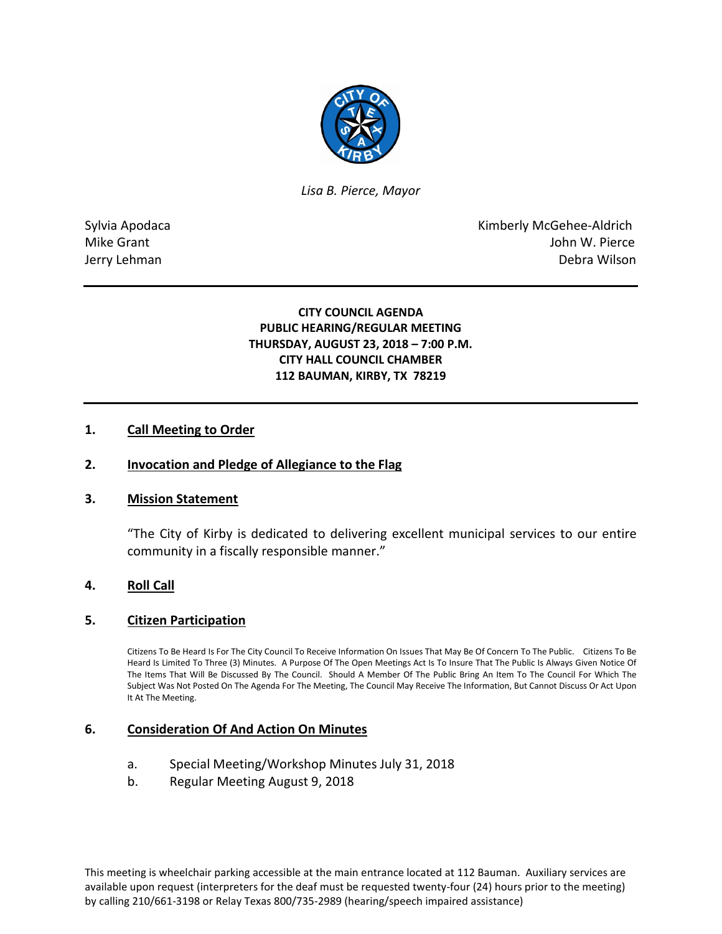

*Lisa B. Pierce, Mayor* 

Sylvia Apodaca National According Control of American Control of Kimberly McGehee-Aldrich Mike Grant **John W. Pierce** Jerry Lehman Debra Wilson

## **CITY COUNCIL AGENDA PUBLIC HEARING/REGULAR MEETING THURSDAY, AUGUST 23, 2018 – 7:00 P.M. CITY HALL COUNCIL CHAMBER 112 BAUMAN, KIRBY, TX 78219**

## **1. Call Meeting to Order**

## **2. Invocation and Pledge of Allegiance to the Flag**

#### **3. Mission Statement**

"The City of Kirby is dedicated to delivering excellent municipal services to our entire community in a fiscally responsible manner."

#### **4. Roll Call**

#### **5. Citizen Participation**

Citizens To Be Heard Is For The City Council To Receive Information On Issues That May Be Of Concern To The Public. Citizens To Be Heard Is Limited To Three (3) Minutes. A Purpose Of The Open Meetings Act Is To Insure That The Public Is Always Given Notice Of The Items That Will Be Discussed By The Council. Should A Member Of The Public Bring An Item To The Council For Which The Subject Was Not Posted On The Agenda For The Meeting, The Council May Receive The Information, But Cannot Discuss Or Act Upon It At The Meeting.

#### **6. Consideration Of And Action On Minutes**

- a. Special Meeting/Workshop Minutes July 31, 2018
- b. Regular Meeting August 9, 2018

This meeting is wheelchair parking accessible at the main entrance located at 112 Bauman. Auxiliary services are available upon request (interpreters for the deaf must be requested twenty-four (24) hours prior to the meeting) by calling 210/661-3198 or Relay Texas 800/735-2989 (hearing/speech impaired assistance)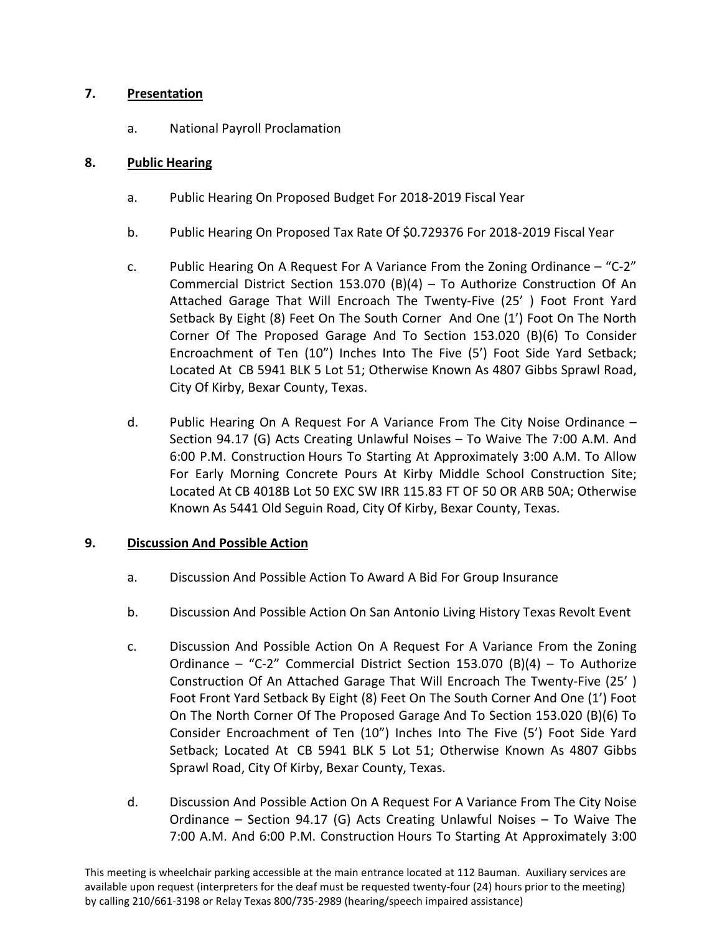# **7. Presentation**

a. National Payroll Proclamation

# **8. Public Hearing**

- a. Public Hearing On Proposed Budget For 2018-2019 Fiscal Year
- b. Public Hearing On Proposed Tax Rate Of \$0.729376 For 2018-2019 Fiscal Year
- c. Public Hearing On A Request For A Variance From the Zoning Ordinance  $-$  "C-2" Commercial District Section 153.070 (B)(4) – To Authorize Construction Of An Attached Garage That Will Encroach The Twenty-Five (25' ) Foot Front Yard Setback By Eight (8) Feet On The South Corner And One (1') Foot On The North Corner Of The Proposed Garage And To Section 153.020 (B)(6) To Consider Encroachment of Ten (10") Inches Into The Five (5') Foot Side Yard Setback; Located At CB 5941 BLK 5 Lot 51; Otherwise Known As 4807 Gibbs Sprawl Road, City Of Kirby, Bexar County, Texas.
- d. Public Hearing On A Request For A Variance From The City Noise Ordinance Section 94.17 (G) Acts Creating Unlawful Noises – To Waive The 7:00 A.M. And 6:00 P.M. Construction Hours To Starting At Approximately 3:00 A.M. To Allow For Early Morning Concrete Pours At Kirby Middle School Construction Site; Located At CB 4018B Lot 50 EXC SW IRR 115.83 FT OF 50 OR ARB 50A; Otherwise Known As 5441 Old Seguin Road, City Of Kirby, Bexar County, Texas.

# **9. Discussion And Possible Action**

- a. Discussion And Possible Action To Award A Bid For Group Insurance
- b. Discussion And Possible Action On San Antonio Living History Texas Revolt Event
- c. Discussion And Possible Action On A Request For A Variance From the Zoning Ordinance – "C-2" Commercial District Section 153.070 (B)(4) – To Authorize Construction Of An Attached Garage That Will Encroach The Twenty-Five (25' ) Foot Front Yard Setback By Eight (8) Feet On The South Corner And One (1') Foot On The North Corner Of The Proposed Garage And To Section 153.020 (B)(6) To Consider Encroachment of Ten (10") Inches Into The Five (5') Foot Side Yard Setback; Located At CB 5941 BLK 5 Lot 51; Otherwise Known As 4807 Gibbs Sprawl Road, City Of Kirby, Bexar County, Texas.
- d. Discussion And Possible Action On A Request For A Variance From The City Noise Ordinance – Section 94.17 (G) Acts Creating Unlawful Noises – To Waive The 7:00 A.M. And 6:00 P.M. Construction Hours To Starting At Approximately 3:00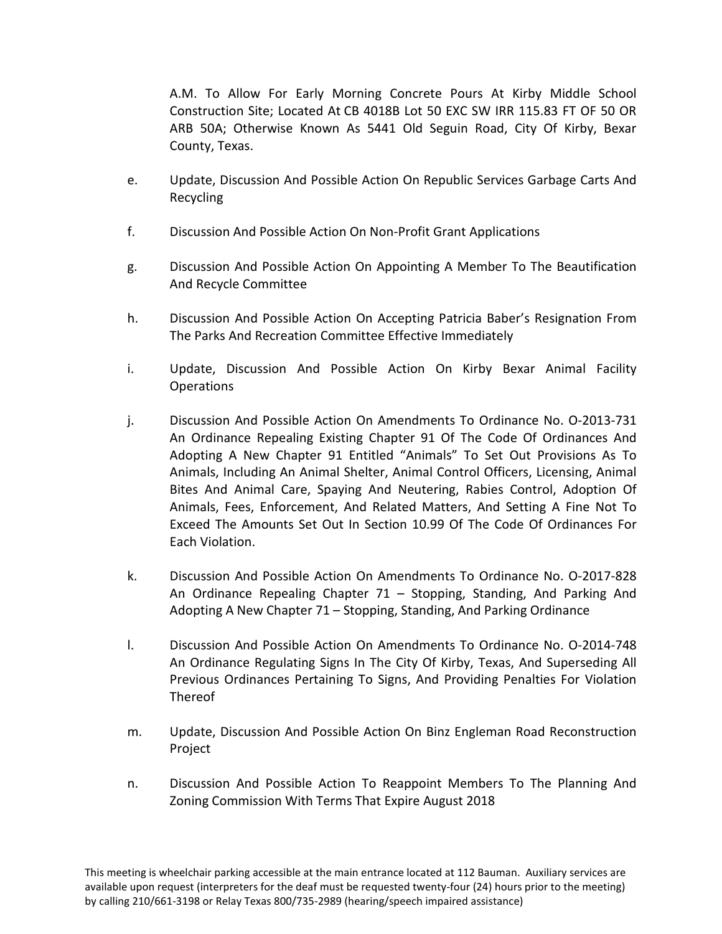A.M. To Allow For Early Morning Concrete Pours At Kirby Middle School Construction Site; Located At CB 4018B Lot 50 EXC SW IRR 115.83 FT OF 50 OR ARB 50A; Otherwise Known As 5441 Old Seguin Road, City Of Kirby, Bexar County, Texas.

- e. Update, Discussion And Possible Action On Republic Services Garbage Carts And Recycling
- f. Discussion And Possible Action On Non-Profit Grant Applications
- g. Discussion And Possible Action On Appointing A Member To The Beautification And Recycle Committee
- h. Discussion And Possible Action On Accepting Patricia Baber's Resignation From The Parks And Recreation Committee Effective Immediately
- i. Update, Discussion And Possible Action On Kirby Bexar Animal Facility Operations
- j. Discussion And Possible Action On Amendments To Ordinance No. O-2013-731 An Ordinance Repealing Existing Chapter 91 Of The Code Of Ordinances And Adopting A New Chapter 91 Entitled "Animals" To Set Out Provisions As To Animals, Including An Animal Shelter, Animal Control Officers, Licensing, Animal Bites And Animal Care, Spaying And Neutering, Rabies Control, Adoption Of Animals, Fees, Enforcement, And Related Matters, And Setting A Fine Not To Exceed The Amounts Set Out In Section 10.99 Of The Code Of Ordinances For Each Violation.
- k. Discussion And Possible Action On Amendments To Ordinance No. O-2017-828 An Ordinance Repealing Chapter 71 – Stopping, Standing, And Parking And Adopting A New Chapter 71 – Stopping, Standing, And Parking Ordinance
- l. Discussion And Possible Action On Amendments To Ordinance No. O-2014-748 An Ordinance Regulating Signs In The City Of Kirby, Texas, And Superseding All Previous Ordinances Pertaining To Signs, And Providing Penalties For Violation Thereof
- m. Update, Discussion And Possible Action On Binz Engleman Road Reconstruction Project
- n. Discussion And Possible Action To Reappoint Members To The Planning And Zoning Commission With Terms That Expire August 2018